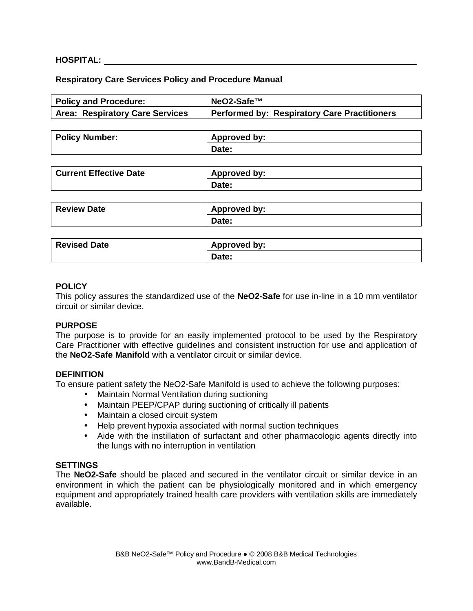# **HOSPITAL:**

#### **Respiratory Care Services Policy and Procedure Manual**

| <b>Policy and Procedure:</b>           | NeO2-Safe™                                          |
|----------------------------------------|-----------------------------------------------------|
| <b>Area: Respiratory Care Services</b> | <b>Performed by: Respiratory Care Practitioners</b> |
|                                        |                                                     |
| <b>Policy Number:</b>                  | <b>Approved by:</b>                                 |
|                                        | Date:                                               |
|                                        |                                                     |
| <b>Current Effective Date</b>          | <b>Approved by:</b>                                 |
|                                        | Date:                                               |
|                                        |                                                     |
| <b>Review Date</b>                     | <b>Approved by:</b>                                 |
|                                        | Date:                                               |
|                                        |                                                     |
| <b>Revised Date</b>                    | <b>Approved by:</b>                                 |
|                                        | Date:                                               |
|                                        |                                                     |

#### **POLICY**

This policy assures the standardized use of the **NeO2-Safe** for use in-line in a 10 mm ventilator circuit or similar device.

#### **PURPOSE**

The purpose is to provide for an easily implemented protocol to be used by the Respiratory Care Practitioner with effective guidelines and consistent instruction for use and application of the **NeO2-Safe Manifold** with a ventilator circuit or similar device.

#### **DEFINITION**

To ensure patient safety the NeO2-Safe Manifold is used to achieve the following purposes:

- Maintain Normal Ventilation during suctioning
- Maintain PEEP/CPAP during suctioning of critically ill patients
- Maintain a closed circuit system
- Help prevent hypoxia associated with normal suction techniques
- Aide with the instillation of surfactant and other pharmacologic agents directly into the lungs with no interruption in ventilation

#### **SETTINGS**

The **NeO2-Safe** should be placed and secured in the ventilator circuit or similar device in an environment in which the patient can be physiologically monitored and in which emergency equipment and appropriately trained health care providers with ventilation skills are immediately available.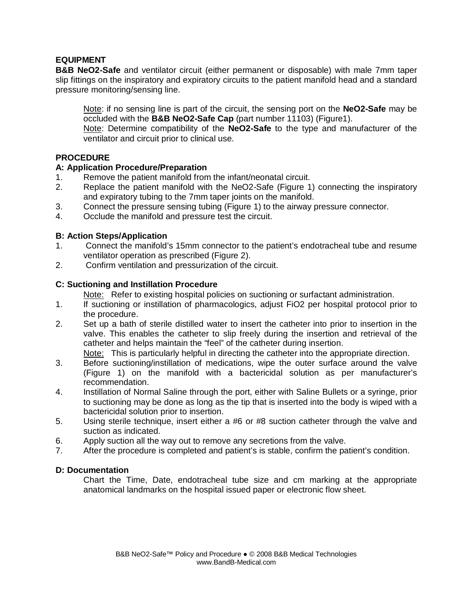# **EQUIPMENT**

**B&B NeO2-Safe** and ventilator circuit (either permanent or disposable) with male 7mm taper slip fittings on the inspiratory and expiratory circuits to the patient manifold head and a standard pressure monitoring/sensing line.

 Note: if no sensing line is part of the circuit, the sensing port on the **NeO2-Safe** may be occluded with the **B&B NeO2-Safe Cap** (part number 11103) (Figure1).

 Note: Determine compatibility of the **NeO2-Safe** to the type and manufacturer of the ventilator and circuit prior to clinical use.

# **PROCEDURE**

# **A: Application Procedure/Preparation**

- 1. Remove the patient manifold from the infant/neonatal circuit.
- 2. Replace the patient manifold with the NeO2-Safe (Figure 1) connecting the inspiratory and expiratory tubing to the 7mm taper joints on the manifold.
- 3. Connect the pressure sensing tubing (Figure 1) to the airway pressure connector.
- 4. Occlude the manifold and pressure test the circuit.

#### **B: Action Steps/Application**

- 1. Connect the manifold's 15mm connector to the patient's endotracheal tube and resume ventilator operation as prescribed (Figure 2).
- 2. Confirm ventilation and pressurization of the circuit.

# **C: Suctioning and Instillation Procedure**

Note: Refer to existing hospital policies on suctioning or surfactant administration.

- 1. If suctioning or instillation of pharmacologics, adjust FiO2 per hospital protocol prior to the procedure.
- 2. Set up a bath of sterile distilled water to insert the catheter into prior to insertion in the valve. This enables the catheter to slip freely during the insertion and retrieval of the catheter and helps maintain the "feel" of the catheter during insertion.

Note: This is particularly helpful in directing the catheter into the appropriate direction.

- 3. Before suctioning/instillation of medications, wipe the outer surface around the valve (Figure 1) on the manifold with a bactericidal solution as per manufacturer's recommendation.
- 4. Instillation of Normal Saline through the port, either with Saline Bullets or a syringe, prior to suctioning may be done as long as the tip that is inserted into the body is wiped with a bactericidal solution prior to insertion.
- 5. Using sterile technique, insert either a #6 or #8 suction catheter through the valve and suction as indicated.
- 6. Apply suction all the way out to remove any secretions from the valve.
- 7. After the procedure is completed and patient's is stable, confirm the patient's condition.

# **D: Documentation**

 Chart the Time, Date, endotracheal tube size and cm marking at the appropriate anatomical landmarks on the hospital issued paper or electronic flow sheet.